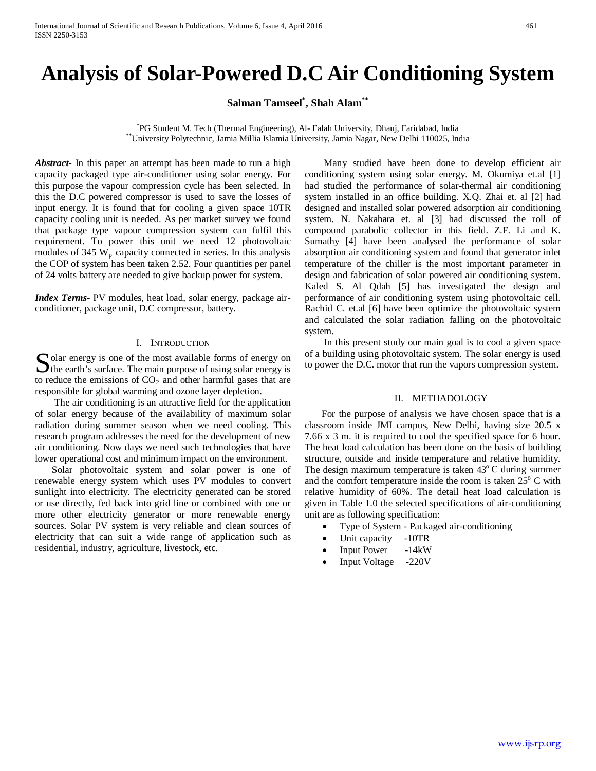# **Analysis of Solar-Powered D.C Air Conditioning System**

**Salman Tamseel\* , Shah Alam\*\***

<sup>\*</sup>PG Student M. Tech (Thermal Engineering), Al- Falah University, Dhauj, Faridabad, India <sup>\*</sup>University Polytechnic, Jamia Millia Islamia University, Jamia Nagar, New Delhi 110025, India

*Abstract***-** In this paper an attempt has been made to run a high capacity packaged type air-conditioner using solar energy. For this purpose the vapour compression cycle has been selected. In this the D.C powered compressor is used to save the losses of input energy. It is found that for cooling a given space 10TR capacity cooling unit is needed. As per market survey we found that package type vapour compression system can fulfil this requirement. To power this unit we need 12 photovoltaic modules of 345  $W_p$  capacity connected in series. In this analysis the COP of system has been taken 2.52. Four quantities per panel of 24 volts battery are needed to give backup power for system.

*Index Terms*- PV modules, heat load, solar energy, package airconditioner, package unit, D.C compressor, battery.

#### I. INTRODUCTION

olar energy is one of the most available forms of energy on Solar energy is one of the most available forms of energy on<br>the earth's surface. The main purpose of using solar energy is<br>the density is surfaced to the conduction of the substitution of the substitution of the substitut to reduce the emissions of  $CO<sub>2</sub>$  and other harmful gases that are responsible for global warming and ozone layer depletion.

 The air conditioning is an attractive field for the application of solar energy because of the availability of maximum solar radiation during summer season when we need cooling. This research program addresses the need for the development of new air conditioning. Now days we need such technologies that have lower operational cost and minimum impact on the environment.

 Solar photovoltaic system and solar power is one of renewable energy system which uses PV modules to convert sunlight into electricity. The electricity generated can be stored or use directly, fed back into grid line or combined with one or more other electricity generator or more renewable energy sources. Solar PV system is very reliable and clean sources of electricity that can suit a wide range of application such as residential, industry, agriculture, livestock, etc.

 Many studied have been done to develop efficient air conditioning system using solar energy. M. Okumiya et.al [1] had studied the performance of solar-thermal air conditioning system installed in an office building. X.Q. Zhai et. al [2] had designed and installed solar powered adsorption air conditioning system. N. Nakahara et. al [3] had discussed the roll of compound parabolic collector in this field. Z.F. Li and K. Sumathy [4] have been analysed the performance of solar absorption air conditioning system and found that generator inlet temperature of the chiller is the most important parameter in design and fabrication of solar powered air conditioning system. Kaled S. Al Qdah [5] has investigated the design and performance of air conditioning system using photovoltaic cell. Rachid C. et.al [6] have been optimize the photovoltaic system and calculated the solar radiation falling on the photovoltaic system.

 In this present study our main goal is to cool a given space of a building using photovoltaic system. The solar energy is used to power the D.C. motor that run the vapors compression system.

#### II. METHADOLOGY

 For the purpose of analysis we have chosen space that is a classroom inside JMI campus, New Delhi, having size 20.5 x 7.66 x 3 m. it is required to cool the specified space for 6 hour. The heat load calculation has been done on the basis of building structure, outside and inside temperature and relative humidity. The design maximum temperature is taken  $43^{\circ}$ C during summer and the comfort temperature inside the room is taken  $25^{\circ}$  C with relative humidity of 60%. The detail heat load calculation is given in Table 1.0 the selected specifications of air-conditioning unit are as following specification:

- Type of System Packaged air-conditioning
- Unit capacity -10TR
- Input Power -14kW
- Input Voltage -220V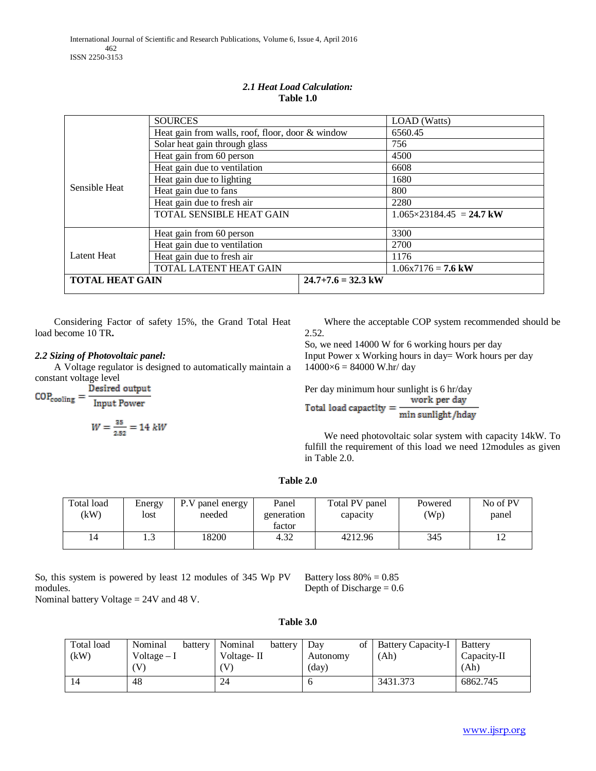|                        | <b>SOURCES</b>                                   |                      | <b>LOAD</b> (Watts)               |  |
|------------------------|--------------------------------------------------|----------------------|-----------------------------------|--|
|                        | Heat gain from walls, roof, floor, door & window |                      | 6560.45                           |  |
|                        | Solar heat gain through glass                    |                      | 756                               |  |
|                        | Heat gain from 60 person                         |                      | 4500                              |  |
|                        | Heat gain due to ventilation                     |                      | 6608                              |  |
|                        | Heat gain due to lighting                        |                      | 1680                              |  |
| Sensible Heat          | Heat gain due to fans                            |                      | 800                               |  |
|                        | Heat gain due to fresh air                       |                      | 2280                              |  |
|                        | TOTAL SENSIBLE HEAT GAIN                         |                      | $1.065 \times 23184.45 = 24.7$ kW |  |
|                        | Heat gain from 60 person                         | 3300                 |                                   |  |
| Latent Heat            | Heat gain due to ventilation                     |                      | 2700                              |  |
|                        | Heat gain due to fresh air                       |                      | 1176                              |  |
|                        | TOTAL LATENT HEAT GAIN                           |                      | $1.06x7176 = 7.6$ kW              |  |
| <b>TOTAL HEAT GAIN</b> |                                                  | $24.7+7.6 = 32.3$ kW |                                   |  |

# *2.1 Heat Load Calculation:* **Table 1.0**

 Considering Factor of safety 15%, the Grand Total Heat load become 10 TR**.**

# *2.2 Sizing of Photovoltaic panel:*

 A Voltage regulator is designed to automatically maintain a constant voltage level<br>Desired output

 $\text{COP}_{\text{cooling}} = \frac{\text{Desired output}}{\text{Input Power}}$ 

$$
W = \frac{25}{2.52} = 14 \text{ kW}
$$

 Where the acceptable COP system recommended should be 2.52.

So, we need 14000 W for 6 working hours per day Input Power x Working hours in day= Work hours per day  $14000\times6 = 84000$  W.hr/ day

Per day minimum hour sunlight is 6 hr/day work per day

Total load capactity = min sunlight/hday

 We need photovoltaic solar system with capacity 14kW. To fulfill the requirement of this load we need 12modules as given in Table 2.0.

## **Table 2.0**

| Total load<br>kW) | Energy<br>lost | P.V panel energy<br>needed | Panel<br>generation<br>factor | Total PV panel<br>capacity | Powered<br>'Wp) | No of PV<br>panel |
|-------------------|----------------|----------------------------|-------------------------------|----------------------------|-----------------|-------------------|
| 14                | $\sim$<br>ر    | 18200                      | 4.32                          | 4212.96                    | 345             | ⊥∠                |

So, this system is powered by least 12 modules of 345 Wp PV modules.

Battery loss  $80\% = 0.85$ Depth of Discharge  $= 0.6$ 

Nominal battery Voltage = 24V and 48 V.

| Table 3.0 |  |
|-----------|--|
|-----------|--|

| Total load<br>(kW) | Nominal<br>battery<br>Voltage $-I$<br>'V | Nominal<br>battery<br>Voltage-II<br>V | Dav<br>οf<br>Autonomy<br>(day) | Battery Capacity-I<br>(Ah) | Battery<br>Capacity-II<br>(Ah) |
|--------------------|------------------------------------------|---------------------------------------|--------------------------------|----------------------------|--------------------------------|
| 14                 | 48                                       | 24                                    |                                | 3431.373                   | 6862.745                       |